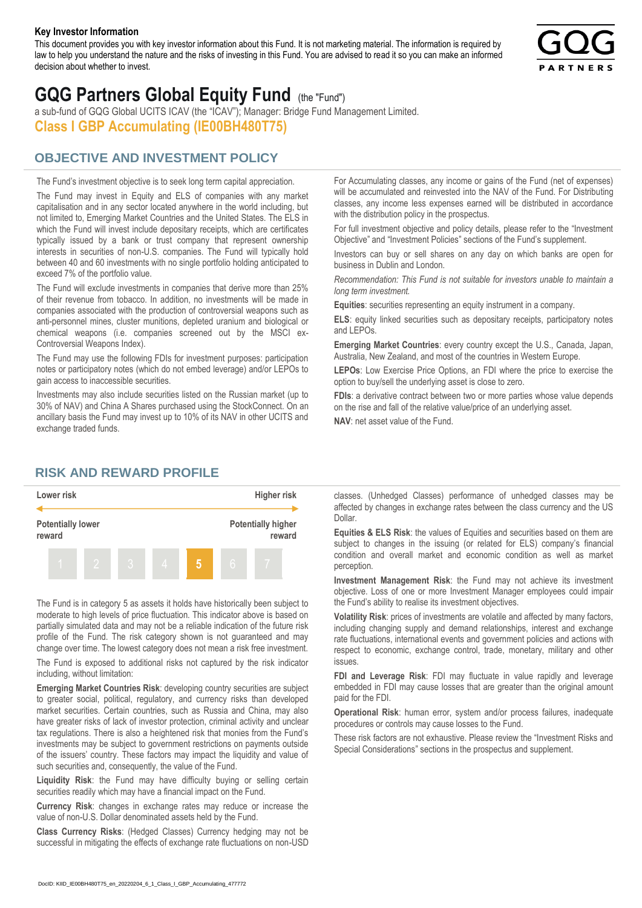#### **Key Investor Information**

This document provides you with key investor information about this Fund. It is not marketing material. The information is required by law to help you understand the nature and the risks of investing in this Fund. You are advised to read it so you can make an informed decision about whether to invest.



# **GQG Partners Global Equity Fund** (the "Fund")

a sub-fund of GQG Global UCITS ICAV (the "ICAV"); Manager: Bridge Fund Management Limited. **Class I GBP Accumulating (IE00BH480T75)**

## **OBJECTIVE AND INVESTMENT POLICY**

The Fund's investment objective is to seek long term capital appreciation. The Fund may invest in Equity and ELS of companies with any market capitalisation and in any sector located anywhere in the world including, but not limited to, Emerging Market Countries and the United States. The ELS in which the Fund will invest include depositary receipts, which are certificates typically issued by a bank or trust company that represent ownership interests in securities of non-U.S. companies. The Fund will typically hold between 40 and 60 investments with no single portfolio holding anticipated to exceed 7% of the portfolio value.

The Fund will exclude investments in companies that derive more than 25% of their revenue from tobacco. In addition, no investments will be made in companies associated with the production of controversial weapons such as anti-personnel mines, cluster munitions, depleted uranium and biological or chemical weapons (i.e. companies screened out by the MSCI ex-Controversial Weapons Index).

The Fund may use the following FDIs for investment purposes: participation notes or participatory notes (which do not embed leverage) and/or LEPOs to gain access to inaccessible securities.

Investments may also include securities listed on the Russian market (up to 30% of NAV) and China A Shares purchased using the StockConnect. On an ancillary basis the Fund may invest up to 10% of its NAV in other UCITS and exchange traded funds.

For Accumulating classes, any income or gains of the Fund (net of expenses) will be accumulated and reinvested into the NAV of the Fund. For Distributing classes, any income less expenses earned will be distributed in accordance with the distribution policy in the prospectus.

For full investment objective and policy details, please refer to the "Investment Objective" and "Investment Policies" sections of the Fund's supplement.

Investors can buy or sell shares on any day on which banks are open for business in Dublin and London.

*Recommendation: This Fund is not suitable for investors unable to maintain a long term investment.*

**Equities**: securities representing an equity instrument in a company.

**ELS**: equity linked securities such as depositary receipts, participatory notes and LEPOs.

**Emerging Market Countries**: every country except the U.S., Canada, Japan, Australia, New Zealand, and most of the countries in Western Europe.

**LEPOs**: Low Exercise Price Options, an FDI where the price to exercise the option to buy/sell the underlying asset is close to zero.

**FDIs**: a derivative contract between two or more parties whose value depends on the rise and fall of the relative value/price of an underlying asset.

**NAV**: net asset value of the Fund.

### **RISK AND REWARD PROFILE**



The Fund is in category 5 as assets it holds have historically been subject to moderate to high levels of price fluctuation. This indicator above is based on partially simulated data and may not be a reliable indication of the future risk profile of the Fund. The risk category shown is not guaranteed and may change over time. The lowest category does not mean a risk free investment.

The Fund is exposed to additional risks not captured by the risk indicator including, without limitation:

**Emerging Market Countries Risk**: developing country securities are subject to greater social, political, regulatory, and currency risks than developed market securities. Certain countries, such as Russia and China, may also have greater risks of lack of investor protection, criminal activity and unclear tax regulations. There is also a heightened risk that monies from the Fund's investments may be subject to government restrictions on payments outside of the issuers' country. These factors may impact the liquidity and value of such securities and, consequently, the value of the Fund.

**Liquidity Risk**: the Fund may have difficulty buying or selling certain securities readily which may have a financial impact on the Fund.

**Currency Risk**: changes in exchange rates may reduce or increase the value of non-U.S. Dollar denominated assets held by the Fund.

**Class Currency Risks**: (Hedged Classes) Currency hedging may not be successful in mitigating the effects of exchange rate fluctuations on non-USD classes. (Unhedged Classes) performance of unhedged classes may be affected by changes in exchange rates between the class currency and the US Dollar.

**Equities & ELS Risk**: the values of Equities and securities based on them are subject to changes in the issuing (or related for ELS) company's financial condition and overall market and economic condition as well as market perception.

**Investment Management Risk**: the Fund may not achieve its investment objective. Loss of one or more Investment Manager employees could impair the Fund's ability to realise its investment objectives.

**Volatility Risk**: prices of investments are volatile and affected by many factors, including changing supply and demand relationships, interest and exchange rate fluctuations, international events and government policies and actions with respect to economic, exchange control, trade, monetary, military and other issues.

**FDI and Leverage Risk**: FDI may fluctuate in value rapidly and leverage embedded in FDI may cause losses that are greater than the original amount paid for the FDI.

**Operational Risk**: human error, system and/or process failures, inadequate procedures or controls may cause losses to the Fund.

These risk factors are not exhaustive. Please review the "Investment Risks and Special Considerations" sections in the prospectus and supplement.